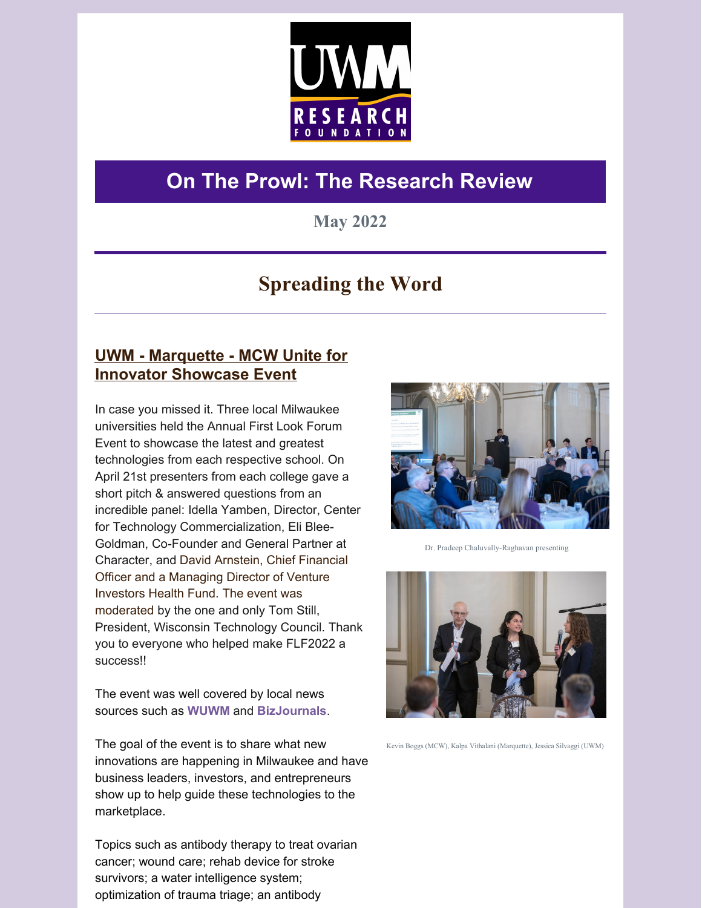

# **On The Prowl: The Research Review**

## **May 2022**

## **Spreading the Word**

## **UWM - Marquette - MCW Unite for Innovator Showcase Event**

In case you missed it. Three local Milwaukee universities held the Annual First Look Forum Event to showcase the latest and greatest technologies from each respective school. On April 21st presenters from each college gave a short pitch & answered questions from an incredible panel: Idella Yamben, Director, Center for Technology Commercialization, Eli Blee-Goldman, Co-Founder and General Partner at Character, and David Arnstein, Chief Financial Officer and a Managing Director of Venture Investors Health Fund. The event was moderated by the one and only Tom Still, President, Wisconsin Technology Council. Thank you to everyone who helped make FLF2022 a success!!

The event was well covered by local news sources such as **WUWM** and **BizJournals**.

The goal of the event is to share what new innovations are happening in Milwaukee and have business leaders, investors, and entrepreneurs show up to help guide these technologies to the marketplace.

Topics such as antibody therapy to treat ovarian cancer; wound care; rehab device for stroke survivors; a water intelligence system; optimization of trauma triage; an antibody



Dr. Pradeep Chaluvally-Raghavan presenting



Kevin Boggs (MCW), Kalpa Vithalani (Marquette), Jessica Silvaggi (UWM)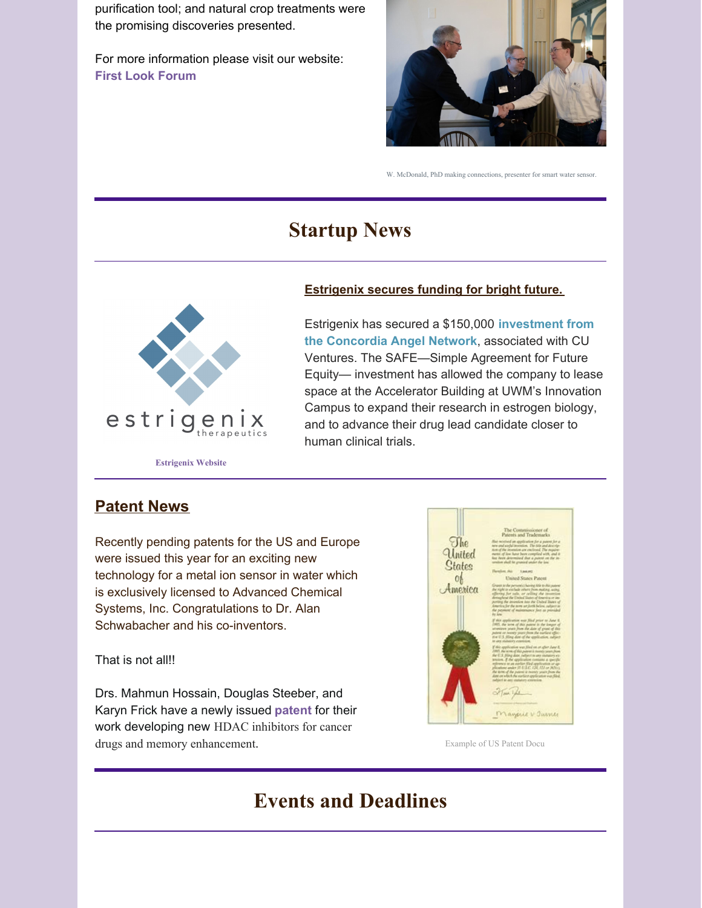purification tool; and natural crop treatments were the promising discoveries presented.

For more information please visit our website: **First Look Forum**



W. McDonald, PhD making connections, presenter for smart water sensor.

## **Startup News**



#### **Estrigenix secures funding for bright future.**

Estrigenix has secured a \$150,000 **investment from the Concordia Angel Network**, associated with CU Ventures. The SAFE—Simple Agreement for Future Equity— investment has allowed the company to lease space at the Accelerator Building at UWM's Innovation Campus to expand their research in estrogen biology, and to advance their drug lead candidate closer to human clinical trials.

### **Patent News**

Recently pending patents for the US and Europe were issued this year for an exciting new technology for a metal ion sensor in water which is exclusively licensed to Advanced Chemical Systems, Inc. Congratulations to Dr. Alan Schwabacher and his co-inventors.

That is not all!!

Drs. Mahmun Hossain, Douglas Steeber, and Karyn Frick have a newly issued **patent** for their work developing new HDAC inhibitors for cancer drugs and memory enhancement. Example of US Patent Docu



## **Events and Deadlines**